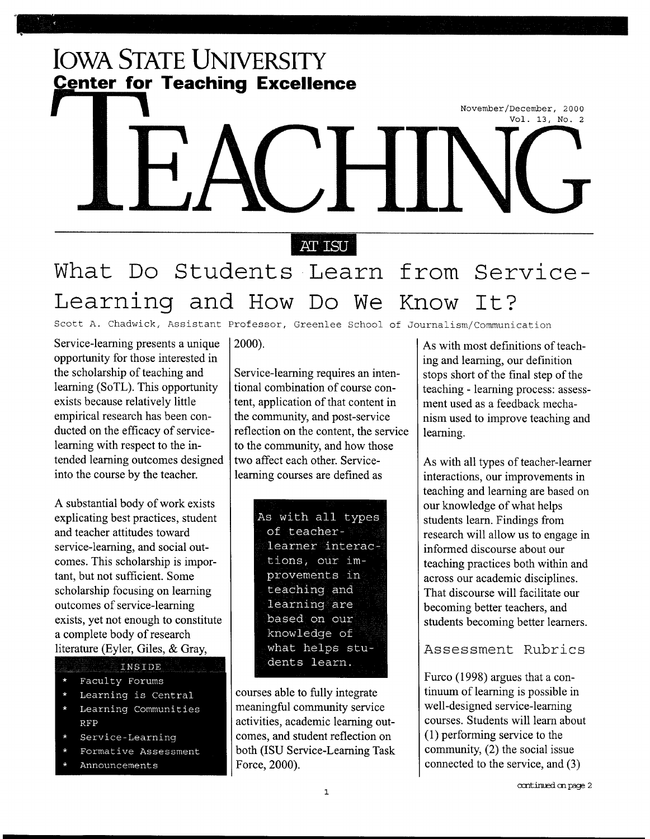## **IOWA STATE UNIVERSITY <u>Center for Teaching Excellence</u>**

# November/December, 2000 Vol. 13, No. 2

#### **AT ISU**

# **What Do Students Learn from Service-Learning and How Do We Know It?**

Scott A. Chadwick, Assistant Professor, Greenlee School of Journalism/Communication

Service-learning presents a unique opportunity for those interested in the scholarship of teaching and learning (SoTL). This opportunity exists because relatively little empirical research has been conducted on the efficacy of servicelearning with respect to the intended learning outcomes designed into the course by the teacher.

A substantial body of work exists explicating best practices, student and teacher attitudes toward service-learning, and social outcomes. This scholarship is important, but not sufficient. Some scholarship focusing on learning outcomes of service-learning exists, yet not enough to constitute a complete body of research literature (Eyler, Giles, & Gray,

#### INSIDE

- Faculty Forums
- Learning is Central
- Learning Communities **RFP**
- Service-Learning
- Formative Assessment
- Announcements

#### 2000).

Service-learning requires an intentional combination of course content, application of that content in the community, and post-service reflection on the content, the service to the community, and how those two affect each other. Servicelearning courses are defined as

| As with all types |  |
|-------------------|--|
| of teacher-       |  |
| learner interac-  |  |
| tions, our im-    |  |
| provements in     |  |
| teaching and      |  |
| learning are      |  |
| based on our      |  |
| knowledge of      |  |
| what helps stu-   |  |
| dents learn.      |  |
|                   |  |

courses able to fully integrate meaningful community service activities, academic learning outcomes, and student reflection on both (ISU Service-Learning Task Force, 2000).

As with most definitions of teaching and learning, our definition stops short of the final step of the teaching- learning process: assessment used as a feedback mechanism used to improve teaching and learning.

As with all types of teacher-learner interactions, our improvements in teaching and learning are based on our knowledge of what helps students learn. Findings from research will allow us to engage in informed discourse about our teaching practices both within and across our academic disciplines. That discourse will facilitate our becoming better teachers, and students becoming better learners.

Assessment Rubrics

Furco (1998) argues that a continuum of learning is possible in well-designed service-learning courses. Students will learn about ( 1) performing service to the community, (2) the social issue connected to the service, and (3)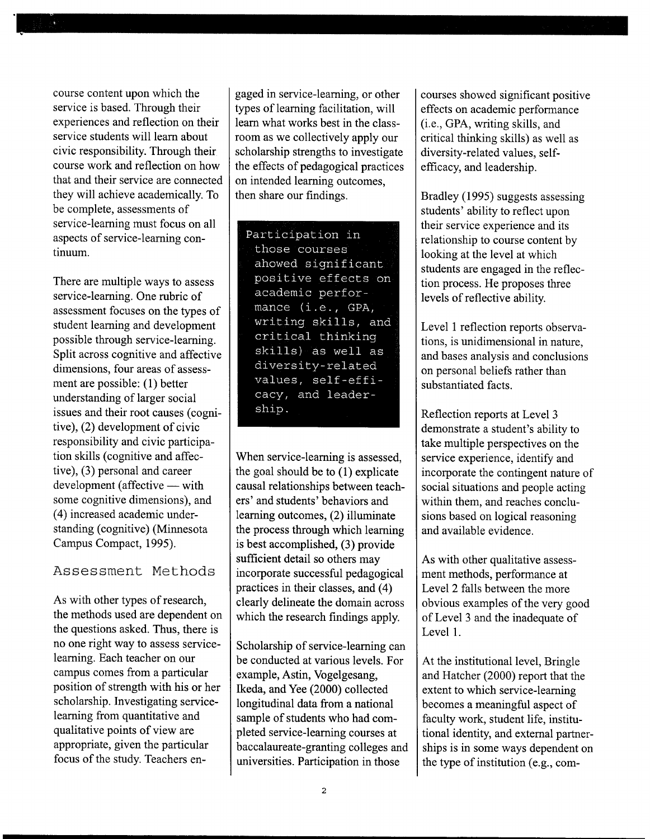course content upon which the service is based. Through their experiences and reflection on their service students will learn about civic responsibility. Through their course work and reflection on how that and their service are connected they will achieve academically. To be complete, assessments of service-learning must focus on all aspects of service-learning continuum.

There are multiple ways to assess service-learning. One rubric of assessment focuses on the types of student learning and development possible through service-learning. Split across cognitive and affective dimensions, four areas of assessment are possible: (1) better understanding of larger social issues and their root causes (cognitive), (2) development of civic responsibility and civic participation skills (cognitive and affective), (3) personal and career  $development (affective - with$ some cognitive dimensions), and ( 4) increased academic understanding (cognitive) (Minnesota Campus Compact, 1995).

#### Assessment Methods

As with other types of research, the methods used are dependent on the questions asked. Thus, there is no one right way to assess servicelearning. Each teacher on our campus comes from a particular position of strength with his or her scholarship. Investigating servicelearning from quantitative and qualitative points of view are appropriate, given the particular focus of the study. Teachers en-

gaged in service-learning, or other types of learning facilitation, will learn what works best in the classroom as we collectively apply our scholarship strengths to investigate the effects of pedagogical practices on intended learning outcomes, then share our findings.

Participation in those courses ahowed significant positive effects on academic performance (i.e., GPA, writing skills, and critical thinking skills) as well as diversity-related values, self-efficacy, and leadership.

When service-learning is assessed, the goal should be to (1) explicate causal relationships between teachers' and students' behaviors and learning outcomes, (2) illuminate the process through which learning is best accomplished, (3) provide sufficient detail so others may incorporate successful pedagogical practices in their classes, and (4) clearly delineate the domain across which the research findings apply.

Scholarship of service-learning can be conducted at various levels. For example, Astin, Vogelgesang, Ikeda, and Yee (2000) collected longitudinal data from a national sample of students who had completed service-learning courses at baccalaureate-granting colleges and universities. Participation in those

courses showed significant positive effects on academic performance (i.e., GPA, writing skills, and critical thinking skills) as well as diversity-related values, selfefficacy, and leadership.

Bradley (1995) suggests assessing students' ability to reflect upon their service experience and its relationship to course content by looking at the level at which students are engaged in the reflection process. He proposes three levels of reflective ability.

Level 1 reflection reports observations, is unidimensional in nature, and bases analysis and conclusions on personal beliefs rather than substantiated facts.

Reflection reports at Level 3 demonstrate a student's ability to take multiple perspectives on the service experience, identify and incorporate the contingent nature of social situations and people acting within them, and reaches conclusions based on logical reasoning and available evidence.

As with other qualitative assessment methods, performance at Level 2 falls between the more obvious examples of the very good of Level 3 and the inadequate of Level 1.

At the institutional level, Bringle and Hatcher (2000) report that the extent to which service-learning becomes a meaningful aspect of faculty work, student life, institutional identity, and external partnerships is in some ways dependent on the type of institution (e.g., com